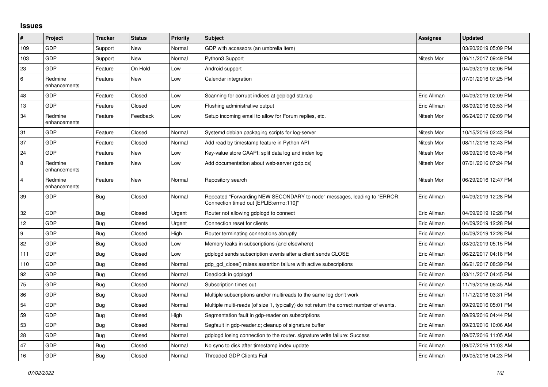## **Issues**

| $\vert$ #        | Project                 | <b>Tracker</b> | <b>Status</b> | <b>Priority</b> | <b>Subject</b>                                                                                                      | Assignee    | <b>Updated</b>      |
|------------------|-------------------------|----------------|---------------|-----------------|---------------------------------------------------------------------------------------------------------------------|-------------|---------------------|
| 109              | GDP                     | Support        | New           | Normal          | GDP with accessors (an umbrella item)                                                                               |             | 03/20/2019 05:09 PM |
| 103              | GDP                     | Support        | <b>New</b>    | Normal          | Python3 Support                                                                                                     | Nitesh Mor  | 06/11/2017 09:49 PM |
| 23               | <b>GDP</b>              | Feature        | On Hold       | Low             | Android support                                                                                                     |             | 04/09/2019 02:06 PM |
| 6                | Redmine<br>enhancements | Feature        | New           | Low             | Calendar integration                                                                                                |             | 07/01/2016 07:25 PM |
| 48               | <b>GDP</b>              | Feature        | Closed        | Low             | Scanning for corrupt indices at gdplogd startup                                                                     | Eric Allman | 04/09/2019 02:09 PM |
| 13               | GDP                     | Feature        | Closed        | Low             | Flushing administrative output                                                                                      | Eric Allman | 08/09/2016 03:53 PM |
| 34               | Redmine<br>enhancements | Feature        | Feedback      | Low             | Setup incoming email to allow for Forum replies, etc.                                                               | Nitesh Mor  | 06/24/2017 02:09 PM |
| 31               | <b>GDP</b>              | Feature        | Closed        | Normal          | Systemd debian packaging scripts for log-server                                                                     | Nitesh Mor  | 10/15/2016 02:43 PM |
| 37               | GDP                     | Feature        | Closed        | Normal          | Add read by timestamp feature in Python API                                                                         | Nitesh Mor  | 08/11/2016 12:43 PM |
| 24               | <b>GDP</b>              | Feature        | New           | Low             | Key-value store CAAPI: split data log and index log                                                                 | Nitesh Mor  | 08/09/2016 03:48 PM |
| 8                | Redmine<br>enhancements | Feature        | <b>New</b>    | Low             | Add documentation about web-server (gdp.cs)                                                                         | Nitesh Mor  | 07/01/2016 07:24 PM |
| $\overline{4}$   | Redmine<br>enhancements | Feature        | New           | Normal          | Repository search                                                                                                   | Nitesh Mor  | 06/29/2016 12:47 PM |
| 39               | GDP                     | Bug            | Closed        | Normal          | Repeated "Forwarding NEW SECONDARY to node" messages, leading to "ERROR:<br>"Connection timed out [EPLIB:errno:110] | Eric Allman | 04/09/2019 12:28 PM |
| 32               | GDP                     | Bug            | Closed        | Urgent          | Router not allowing gdplogd to connect                                                                              | Eric Allman | 04/09/2019 12:28 PM |
| 12               | GDP                     | <b>Bug</b>     | Closed        | Urgent          | Connection reset for clients                                                                                        | Eric Allman | 04/09/2019 12:28 PM |
| $\boldsymbol{9}$ | GDP                     | Bug            | Closed        | High            | Router terminating connections abruptly                                                                             | Eric Allman | 04/09/2019 12:28 PM |
| 82               | <b>GDP</b>              | Bug            | Closed        | Low             | Memory leaks in subscriptions (and elsewhere)                                                                       | Eric Allman | 03/20/2019 05:15 PM |
| 111              | GDP                     | Bug            | Closed        | Low             | adpload sends subscription events after a client sends CLOSE                                                        | Eric Allman | 06/22/2017 04:18 PM |
| 110              | GDP                     | <b>Bug</b>     | Closed        | Normal          | gdp gcl close() raises assertion failure with active subscriptions                                                  | Eric Allman | 06/21/2017 08:39 PM |
| 92               | GDP                     | Bug            | Closed        | Normal          | Deadlock in gdplogd                                                                                                 | Eric Allman | 03/11/2017 04:45 PM |
| 75               | GDP                     | Bug            | Closed        | Normal          | Subscription times out                                                                                              | Eric Allman | 11/19/2016 06:45 AM |
| 86               | GDP                     | <b>Bug</b>     | Closed        | Normal          | Multiple subscriptions and/or multireads to the same log don't work                                                 | Eric Allman | 11/12/2016 03:31 PM |
| 54               | GDP                     | <b>Bug</b>     | Closed        | Normal          | Multiple multi-reads (of size 1, typically) do not return the correct number of events.                             | Eric Allman | 09/29/2016 05:01 PM |
| 59               | GDP                     | Bug            | Closed        | High            | Segmentation fault in gdp-reader on subscriptions                                                                   | Eric Allman | 09/29/2016 04:44 PM |
| 53               | GDP                     | <b>Bug</b>     | Closed        | Normal          | Segfault in gdp-reader.c; cleanup of signature buffer                                                               | Eric Allman | 09/23/2016 10:06 AM |
| 28               | GDP                     | Bug            | Closed        | Normal          | gdplogd losing connection to the router. signature write failure: Success                                           | Eric Allman | 09/07/2016 11:05 AM |
| 47               | GDP                     | Bug            | Closed        | Normal          | No sync to disk after timestamp index update                                                                        | Eric Allman | 09/07/2016 11:03 AM |
| 16               | GDP                     | <b>Bug</b>     | Closed        | Normal          | <b>Threaded GDP Clients Fail</b>                                                                                    | Eric Allman | 09/05/2016 04:23 PM |